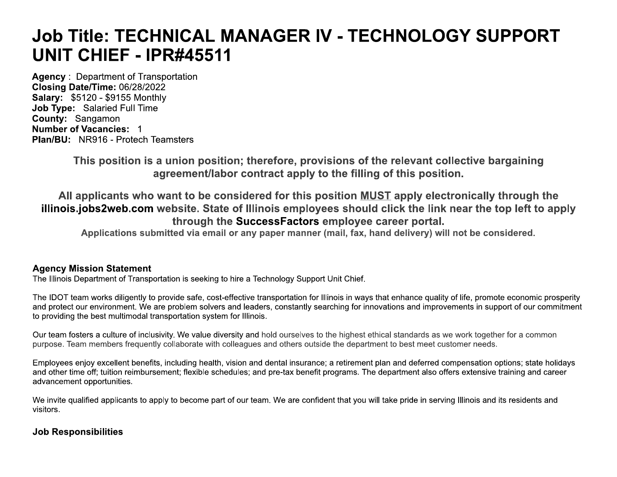# **Job Title: TECHNICAL MANAGER IV - TECHNOLOGY SUPPORT** UNIT CHIEF - IPR#45511

**Agency: Department of Transportation** Closing Date/Time: 06/28/2022 **Salary: \$5120 - \$9155 Monthly Job Type: Salaried Full Time** County: Sangamon **Number of Vacancies: 1 Plan/BU: NR916 - Protech Teamsters** 

> This position is a union position; therefore, provisions of the relevant collective bargaining agreement/labor contract apply to the filling of this position.

All applicants who want to be considered for this position MUST apply electronically through the illinois.jobs2web.com website. State of Illinois employees should click the link near the top left to apply through the SuccessFactors employee career portal.

Applications submitted via email or any paper manner (mail, fax, hand delivery) will not be considered.

# **Agency Mission Statement**

The Illinois Department of Transportation is seeking to hire a Technology Support Unit Chief.

The IDOT team works diligently to provide safe, cost-effective transportation for Illinois in ways that enhance quality of life, promote economic prosperity and protect our environment. We are problem solvers and leaders, constantly searching for innovations and improvements in support of our commitment to providing the best multimodal transportation system for Illinois.

Our team fosters a culture of inclusivity. We value diversity and hold ourselves to the highest ethical standards as we work together for a common purpose. Team members frequently collaborate with colleagues and others outside the department to best meet customer needs.

Employees enjoy excellent benefits, including health, vision and dental insurance; a retirement plan and deferred compensation options; state holidays and other time off; tuition reimbursement; flexible schedules; and pre-tax benefit programs. The department also offers extensive training and career advancement opportunities.

We invite qualified applicants to apply to become part of our team. We are confident that you will take pride in serving Illinois and its residents and visitors.

# **Job Responsibilities**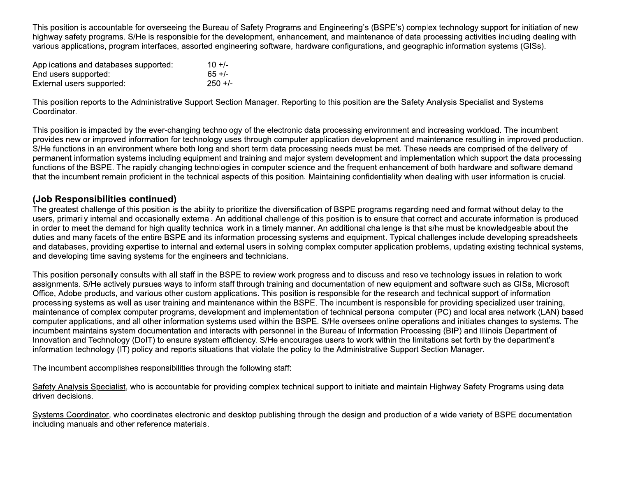This position is accountable for overseeing the Bureau of Safety Programs and Engineering's (BSPE's) complex technology support for initiation of new highway safety programs. S/He is responsible for the development, enhancement, and maintenance of data processing activities including dealing with various applications, program interfaces, assorted engineering software, hardware configurations, and geographic information systems (GISs).

| Applications and databases supported:             | $10 + 1$            |
|---------------------------------------------------|---------------------|
| End users supported:<br>External users supported: | $65 +/-$<br>$250 +$ |

This position reports to the Administrative Support Section Manager. Reporting to this position are the Safety Analysis Specialist and Systems Coordinator.

This position is impacted by the ever-changing technology of the electronic data processing environment and increasing workload. The incumbent provides new or improved information for technology uses through computer application development and maintenance resulting in improved production. S/He functions in an environment where both long and short term data processing needs must be met. These needs are comprised of the delivery of permanent information systems including equipment and training and major system development and implementation which support the data processing functions of the BSPE. The rapidly changing technologies in computer science and the frequent enhancement of both hardware and software demand that the incumbent remain proficient in the technical aspects of this position. Maintaining confidentiality when dealing with user information is crucial.

### (Job Responsibilities continued)

The greatest challenge of this position is the ability to prioritize the diversification of BSPE programs regarding need and format without delay to the users, primarily internal and occasionally external. An additional challenge of this position is to ensure that correct and accurate information is produced in order to meet the demand for high quality technical work in a timely manner. An additional challenge is that s/he must be knowledgeable about the duties and many facets of the entire BSPE and its information processing systems and equipment. Typical challenges include developing spreadsheets and databases, providing expertise to internal and external users in solving complex computer application problems, updating existing technical systems, and developing time saving systems for the engineers and technicians.

This position personally consults with all staff in the BSPE to review work progress and to discuss and resolve technology issues in relation to work assignments. S/He actively pursues ways to inform staff through training and documentation of new equipment and software such as GISs, Microsoft Office, Adobe products, and various other custom applications. This position is responsible for the research and technical support of information processing systems as well as user training and maintenance within the BSPE. The incumbent is responsible for providing specialized user training, maintenance of complex computer programs, development and implementation of technical personal computer (PC) and local area network (LAN) based computer applications, and all other information systems used within the BSPE. S/He oversees online operations and initiates changes to systems. The incumbent maintains system documentation and interacts with personnel in the Bureau of Information Processing (BIP) and Illinois Department of Innovation and Technology (DoIT) to ensure system efficiency. S/He encourages users to work within the limitations set forth by the department's information technology (IT) policy and reports situations that violate the policy to the Administrative Support Section Manager.

The incumbent accomplishes responsibilities through the following staff:

Safety Analysis Specialist, who is accountable for providing complex technical support to initiate and maintain Highway Safety Programs using data driven decisions.

Systems Coordinator, who coordinates electronic and desktop publishing through the design and production of a wide variety of BSPE documentation including manuals and other reference materials.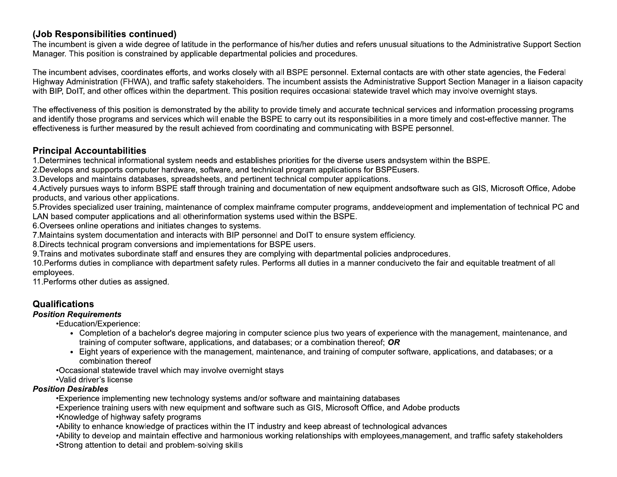# (Job Responsibilities continued)

The incumbent is given a wide degree of latitude in the performance of his/her duties and refers unusual situations to the Administrative Support Section Manager. This position is constrained by applicable departmental policies and procedures.

The incumbent advises, coordinates efforts, and works closely with all BSPE personnel. External contacts are with other state agencies, the Federal Highway Administration (FHWA), and traffic safety stakeholders. The incumbent assists the Administrative Support Section Manager in a liaison capacity with BIP, DoIT, and other offices within the department. This position requires occasional statewide travel which may involve overnight stays.

The effectiveness of this position is demonstrated by the ability to provide timely and accurate technical services and information processing programs and identify those programs and services which will enable the BSPE to carry out its responsibilities in a more timely and cost-effective manner. The effectiveness is further measured by the result achieved from coordinating and communicating with BSPE personnel.

### **Principal Accountabilities**

1. Determines technical informational system needs and establishes priorities for the diverse users andsystem within the BSPE.

2. Develops and supports computer hardware, software, and technical program applications for BSPEusers.

3. Develops and maintains databases, spreadsheets, and pertinent technical computer applications.

4. Actively pursues ways to inform BSPE staff through training and documentation of new equipment andsoftware such as GIS, Microsoft Office, Adobe products, and various other applications.

5. Provides specialized user training, maintenance of complex mainframe computer programs, anddevelopment and implementation of technical PC and LAN based computer applications and all otherinformation systems used within the BSPE.

6. Oversees online operations and initiates changes to systems.

7. Maintains system documentation and interacts with BIP personnel and DoIT to ensure system efficiency.

8. Directs technical program conversions and implementations for BSPE users.

9. Trains and motivates subordinate staff and ensures they are complying with departmental policies andprocedures.

10. Performs duties in compliance with department safety rules. Performs all duties in a manner conduciveto the fair and equitable treatment of all employees.

11. Performs other duties as assigned.

## Qualifications

#### **Position Requirements**

•Education/Experience:

- Completion of a bachelor's degree majoring in computer science plus two years of experience with the management, maintenance, and training of computer software, applications, and databases; or a combination thereof; OR
- Eight vears of experience with the management, maintenance, and training of computer software, applications, and databases; or a combination thereof

•Occasional statewide travel which may involve overnight stays

•Valid driver's license

#### **Position Desirables**

•Experience implementing new technology systems and/or software and maintaining databases

- •Experience training users with new equipment and software such as GIS, Microsoft Office, and Adobe products
- •Knowledge of highway safety programs
- •Ability to enhance knowledge of practices within the IT industry and keep abreast of technological advances
- •Ability to develop and maintain effective and harmonious working relationships with employees, management, and traffic safety stakeholders
- •Strong attention to detail and problem-solving skills